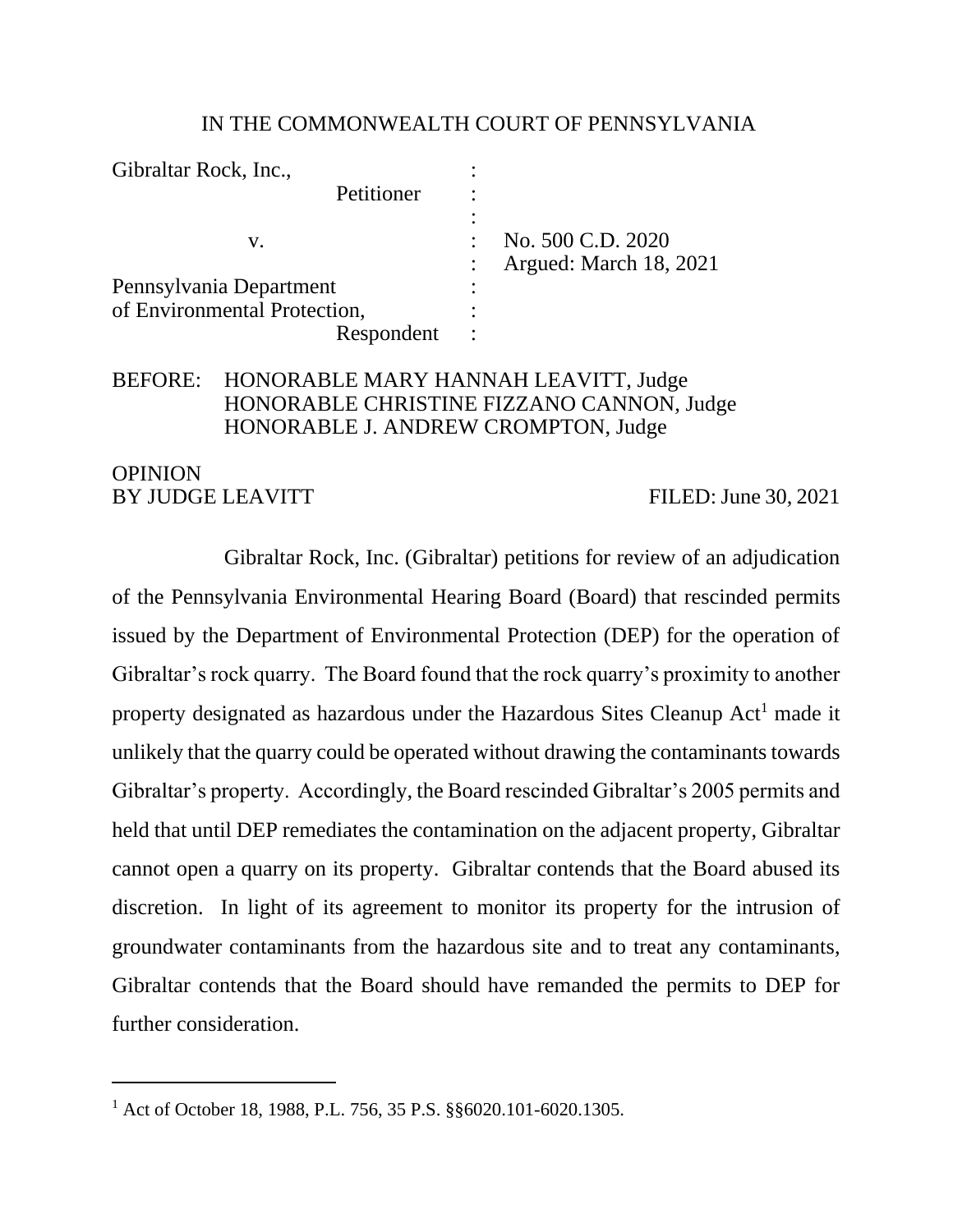#### IN THE COMMONWEALTH COURT OF PENNSYLVANIA

| Gibraltar Rock, Inc.,        |                        |
|------------------------------|------------------------|
| Petitioner                   |                        |
|                              |                        |
| v.                           | No. 500 C.D. 2020      |
|                              | Argued: March 18, 2021 |
| Pennsylvania Department      |                        |
| of Environmental Protection, |                        |
| Respondent                   |                        |

## BEFORE: HONORABLE MARY HANNAH LEAVITT, Judge HONORABLE CHRISTINE FIZZANO CANNON, Judge HONORABLE J. ANDREW CROMPTON, Judge

## **OPINION** BY JUDGE LEAVITT FILED: June 30, 2021

Gibraltar Rock, Inc. (Gibraltar) petitions for review of an adjudication of the Pennsylvania Environmental Hearing Board (Board) that rescinded permits issued by the Department of Environmental Protection (DEP) for the operation of Gibraltar's rock quarry. The Board found that the rock quarry's proximity to another property designated as hazardous under the Hazardous Sites Cleanup Act<sup>1</sup> made it unlikely that the quarry could be operated without drawing the contaminants towards Gibraltar's property. Accordingly, the Board rescinded Gibraltar's 2005 permits and held that until DEP remediates the contamination on the adjacent property, Gibraltar cannot open a quarry on its property. Gibraltar contends that the Board abused its discretion. In light of its agreement to monitor its property for the intrusion of groundwater contaminants from the hazardous site and to treat any contaminants, Gibraltar contends that the Board should have remanded the permits to DEP for further consideration.

<sup>1</sup> Act of October 18, 1988, P.L. 756, 35 P.S. §§6020.101-6020.1305.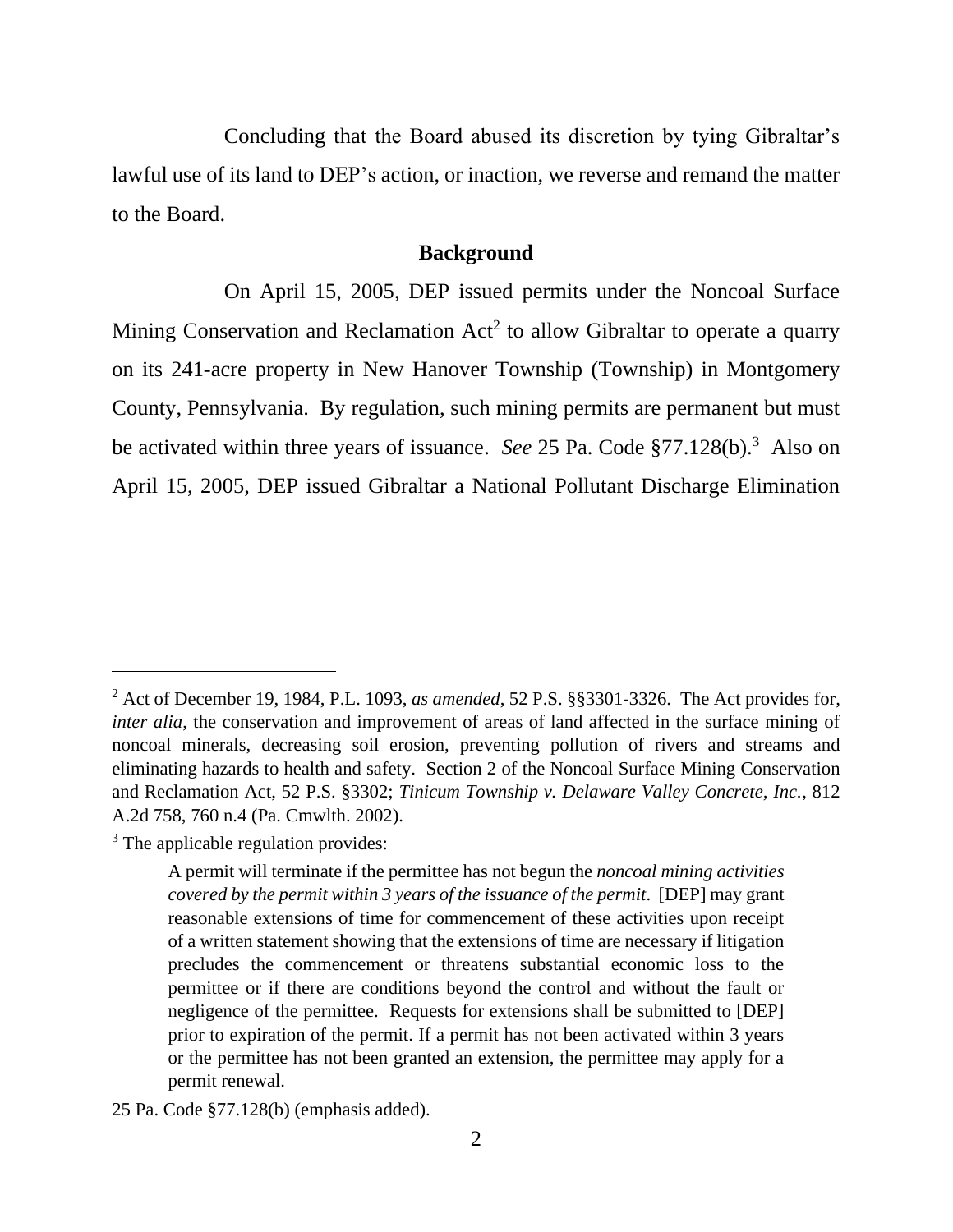Concluding that the Board abused its discretion by tying Gibraltar's lawful use of its land to DEP's action, or inaction, we reverse and remand the matter to the Board.

### **Background**

On April 15, 2005, DEP issued permits under the Noncoal Surface Mining Conservation and Reclamation  $Act^2$  to allow Gibraltar to operate a quarry on its 241-acre property in New Hanover Township (Township) in Montgomery County, Pennsylvania. By regulation, such mining permits are permanent but must be activated within three years of issuance. *See* 25 Pa. Code §77.128(b).<sup>3</sup> Also on April 15, 2005, DEP issued Gibraltar a National Pollutant Discharge Elimination

<sup>2</sup> Act of December 19, 1984, P.L. 1093, *as amended*, 52 P.S. §§3301-3326. The Act provides for, *inter alia*, the conservation and improvement of areas of land affected in the surface mining of noncoal minerals, decreasing soil erosion, preventing pollution of rivers and streams and eliminating hazards to health and safety. Section 2 of the Noncoal Surface Mining Conservation and Reclamation Act, 52 P.S. §3302; *Tinicum Township v. Delaware Valley Concrete, Inc.*, 812 A.2d 758, 760 n.4 (Pa. Cmwlth. 2002).

<sup>&</sup>lt;sup>3</sup> The applicable regulation provides:

A permit will terminate if the permittee has not begun the *noncoal mining activities covered by the permit within 3 years of the issuance of the permit*. [DEP] may grant reasonable extensions of time for commencement of these activities upon receipt of a written statement showing that the extensions of time are necessary if litigation precludes the commencement or threatens substantial economic loss to the permittee or if there are conditions beyond the control and without the fault or negligence of the permittee. Requests for extensions shall be submitted to [DEP] prior to expiration of the permit. If a permit has not been activated within 3 years or the permittee has not been granted an extension, the permittee may apply for a permit renewal.

<sup>25</sup> Pa. Code §77.128(b) (emphasis added).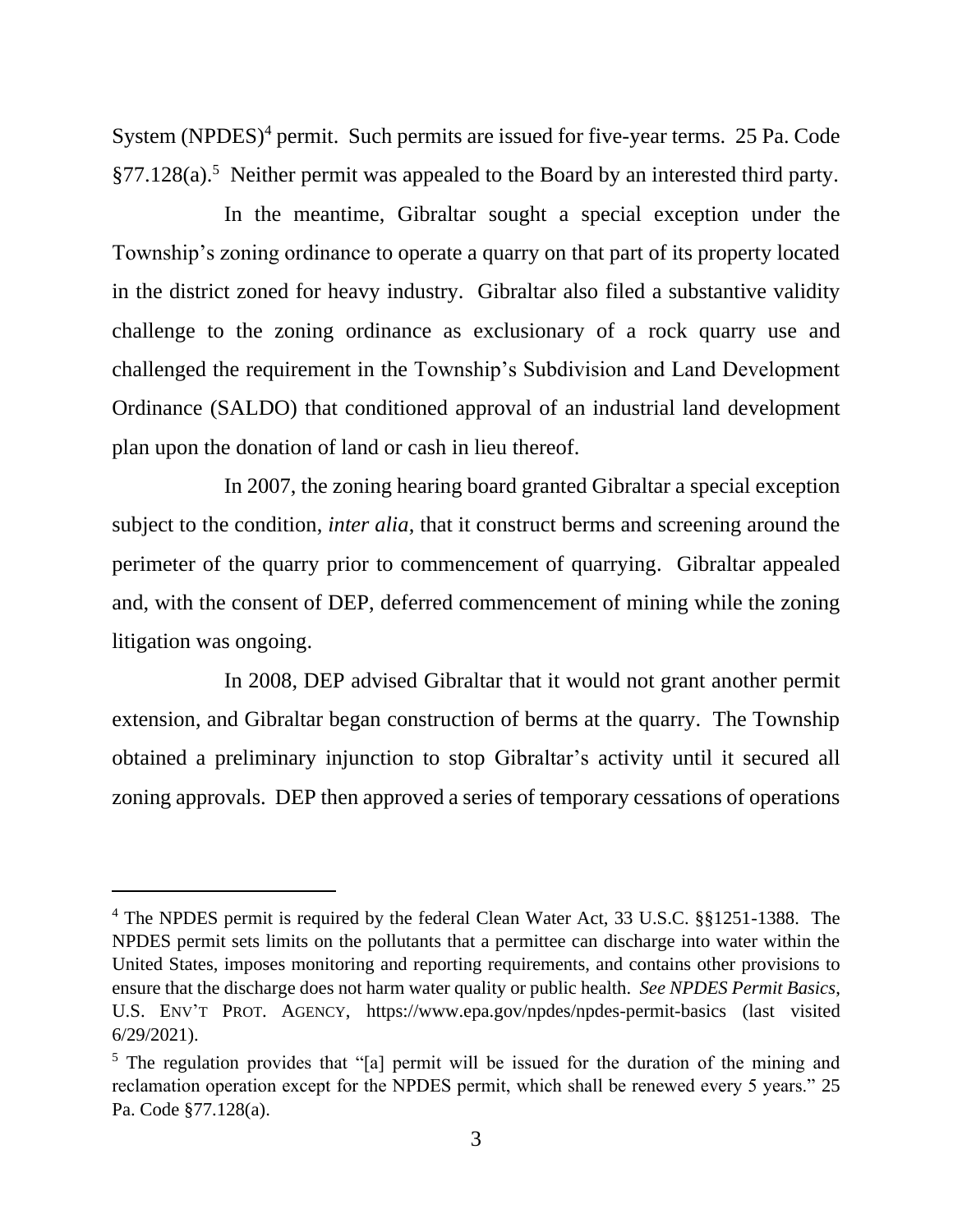System (NPDES)<sup>4</sup> permit. Such permits are issued for five-year terms. 25 Pa. Code §77.128(a).<sup>5</sup> Neither permit was appealed to the Board by an interested third party.

In the meantime, Gibraltar sought a special exception under the Township's zoning ordinance to operate a quarry on that part of its property located in the district zoned for heavy industry. Gibraltar also filed a substantive validity challenge to the zoning ordinance as exclusionary of a rock quarry use and challenged the requirement in the Township's Subdivision and Land Development Ordinance (SALDO) that conditioned approval of an industrial land development plan upon the donation of land or cash in lieu thereof.

In 2007, the zoning hearing board granted Gibraltar a special exception subject to the condition, *inter alia*, that it construct berms and screening around the perimeter of the quarry prior to commencement of quarrying. Gibraltar appealed and, with the consent of DEP, deferred commencement of mining while the zoning litigation was ongoing.

In 2008, DEP advised Gibraltar that it would not grant another permit extension, and Gibraltar began construction of berms at the quarry. The Township obtained a preliminary injunction to stop Gibraltar's activity until it secured all zoning approvals. DEP then approved a series of temporary cessations of operations

<sup>&</sup>lt;sup>4</sup> The NPDES permit is required by the federal Clean Water Act, 33 U.S.C. §§1251-1388. The NPDES permit sets limits on the pollutants that a permittee can discharge into water within the United States, imposes monitoring and reporting requirements, and contains other provisions to ensure that the discharge does not harm water quality or public health. *See NPDES Permit Basics*, U.S. ENV'T PROT. AGENCY, https://www.epa.gov/npdes/npdes-permit-basics (last visited 6/29/2021).

<sup>&</sup>lt;sup>5</sup> The regulation provides that "[a] permit will be issued for the duration of the mining and reclamation operation except for the NPDES permit, which shall be renewed every 5 years." 25 Pa. Code §77.128(a).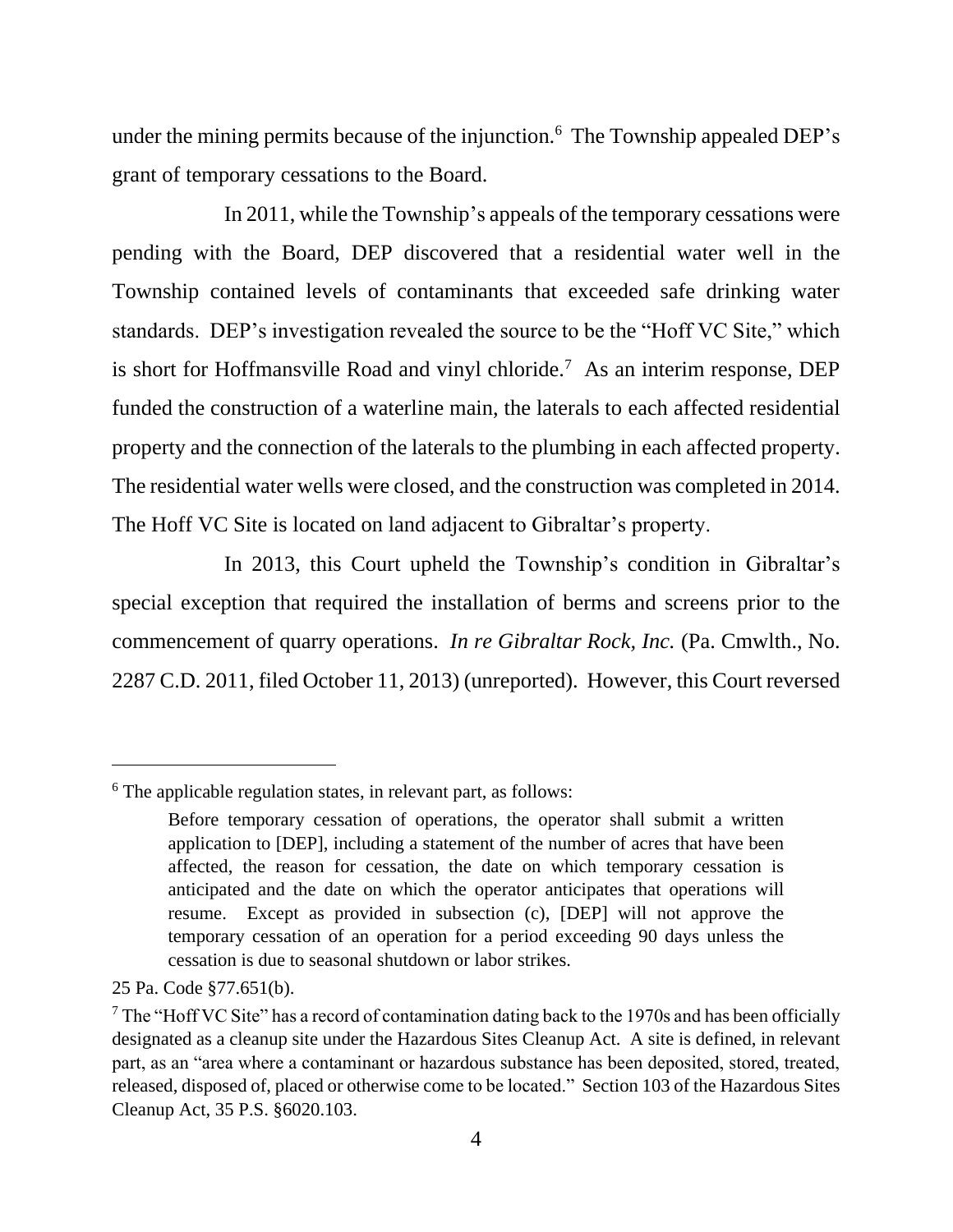under the mining permits because of the injunction.<sup>6</sup> The Township appealed DEP's grant of temporary cessations to the Board.

In 2011, while the Township's appeals of the temporary cessations were pending with the Board, DEP discovered that a residential water well in the Township contained levels of contaminants that exceeded safe drinking water standards. DEP's investigation revealed the source to be the "Hoff VC Site," which is short for Hoffmansville Road and vinyl chloride.<sup>7</sup> As an interim response, DEP funded the construction of a waterline main, the laterals to each affected residential property and the connection of the laterals to the plumbing in each affected property. The residential water wells were closed, and the construction was completed in 2014. The Hoff VC Site is located on land adjacent to Gibraltar's property.

In 2013, this Court upheld the Township's condition in Gibraltar's special exception that required the installation of berms and screens prior to the commencement of quarry operations. *In re Gibraltar Rock, Inc.* (Pa. Cmwlth., No. 2287 C.D. 2011, filed October 11, 2013) (unreported). However, this Court reversed

 $6$  The applicable regulation states, in relevant part, as follows:

Before temporary cessation of operations, the operator shall submit a written application to [DEP], including a statement of the number of acres that have been affected, the reason for cessation, the date on which temporary cessation is anticipated and the date on which the operator anticipates that operations will resume. Except as provided in subsection (c), [DEP] will not approve the temporary cessation of an operation for a period exceeding 90 days unless the cessation is due to seasonal shutdown or labor strikes.

<sup>25</sup> Pa. Code §77.651(b).

 $<sup>7</sup>$  The "Hoff VC Site" has a record of contamination dating back to the 1970s and has been officially</sup> designated as a cleanup site under the Hazardous Sites Cleanup Act. A site is defined, in relevant part, as an "area where a contaminant or hazardous substance has been deposited, stored, treated, released, disposed of, placed or otherwise come to be located." Section 103 of the Hazardous Sites Cleanup Act, 35 P.S. §6020.103.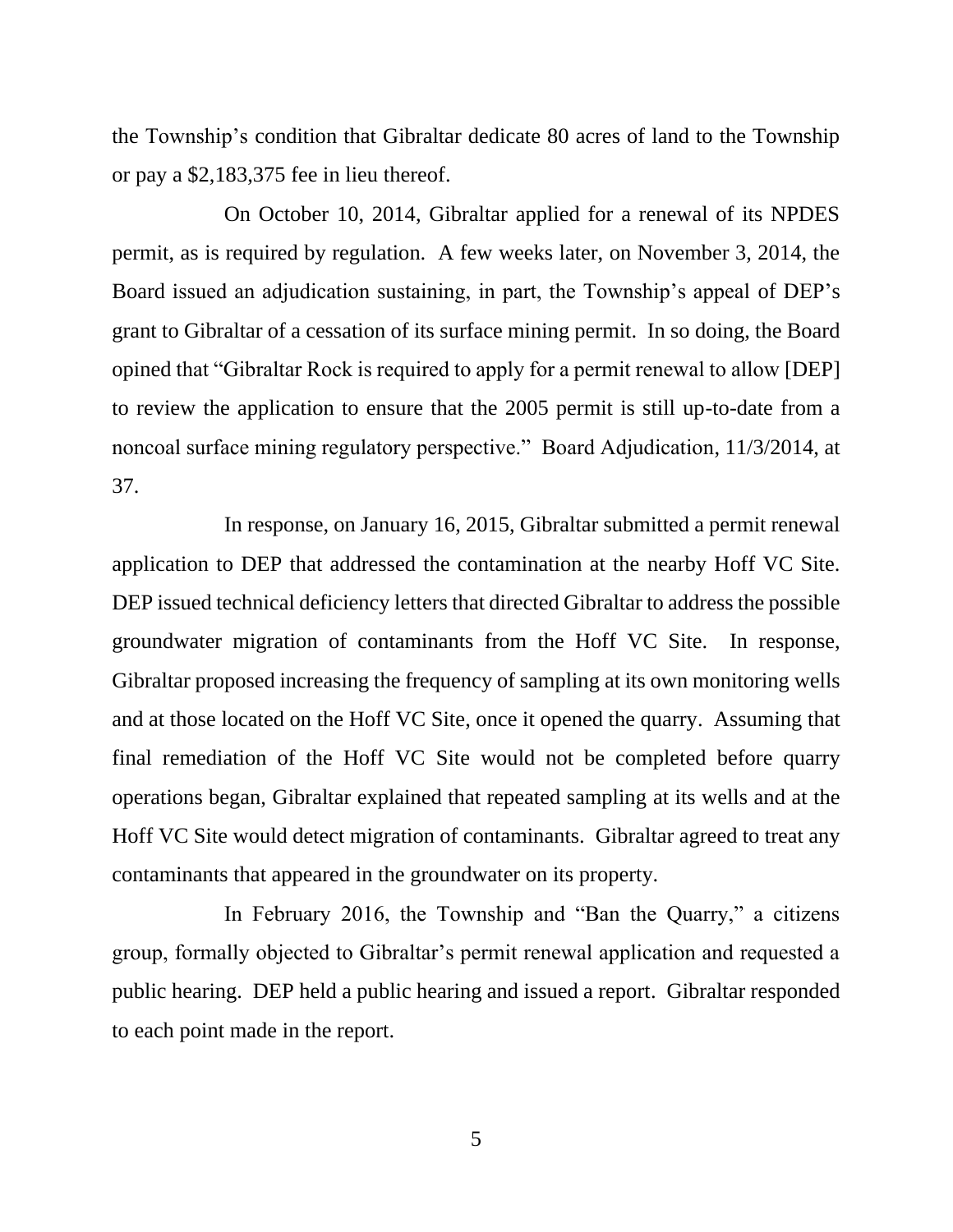the Township's condition that Gibraltar dedicate 80 acres of land to the Township or pay a \$2,183,375 fee in lieu thereof.

On October 10, 2014, Gibraltar applied for a renewal of its NPDES permit, as is required by regulation. A few weeks later, on November 3, 2014, the Board issued an adjudication sustaining, in part, the Township's appeal of DEP's grant to Gibraltar of a cessation of its surface mining permit. In so doing, the Board opined that "Gibraltar Rock is required to apply for a permit renewal to allow [DEP] to review the application to ensure that the 2005 permit is still up-to-date from a noncoal surface mining regulatory perspective." Board Adjudication, 11/3/2014, at 37.

In response, on January 16, 2015, Gibraltar submitted a permit renewal application to DEP that addressed the contamination at the nearby Hoff VC Site. DEP issued technical deficiency letters that directed Gibraltar to address the possible groundwater migration of contaminants from the Hoff VC Site. In response, Gibraltar proposed increasing the frequency of sampling at its own monitoring wells and at those located on the Hoff VC Site, once it opened the quarry. Assuming that final remediation of the Hoff VC Site would not be completed before quarry operations began, Gibraltar explained that repeated sampling at its wells and at the Hoff VC Site would detect migration of contaminants. Gibraltar agreed to treat any contaminants that appeared in the groundwater on its property.

In February 2016, the Township and "Ban the Quarry," a citizens group, formally objected to Gibraltar's permit renewal application and requested a public hearing. DEP held a public hearing and issued a report. Gibraltar responded to each point made in the report.

5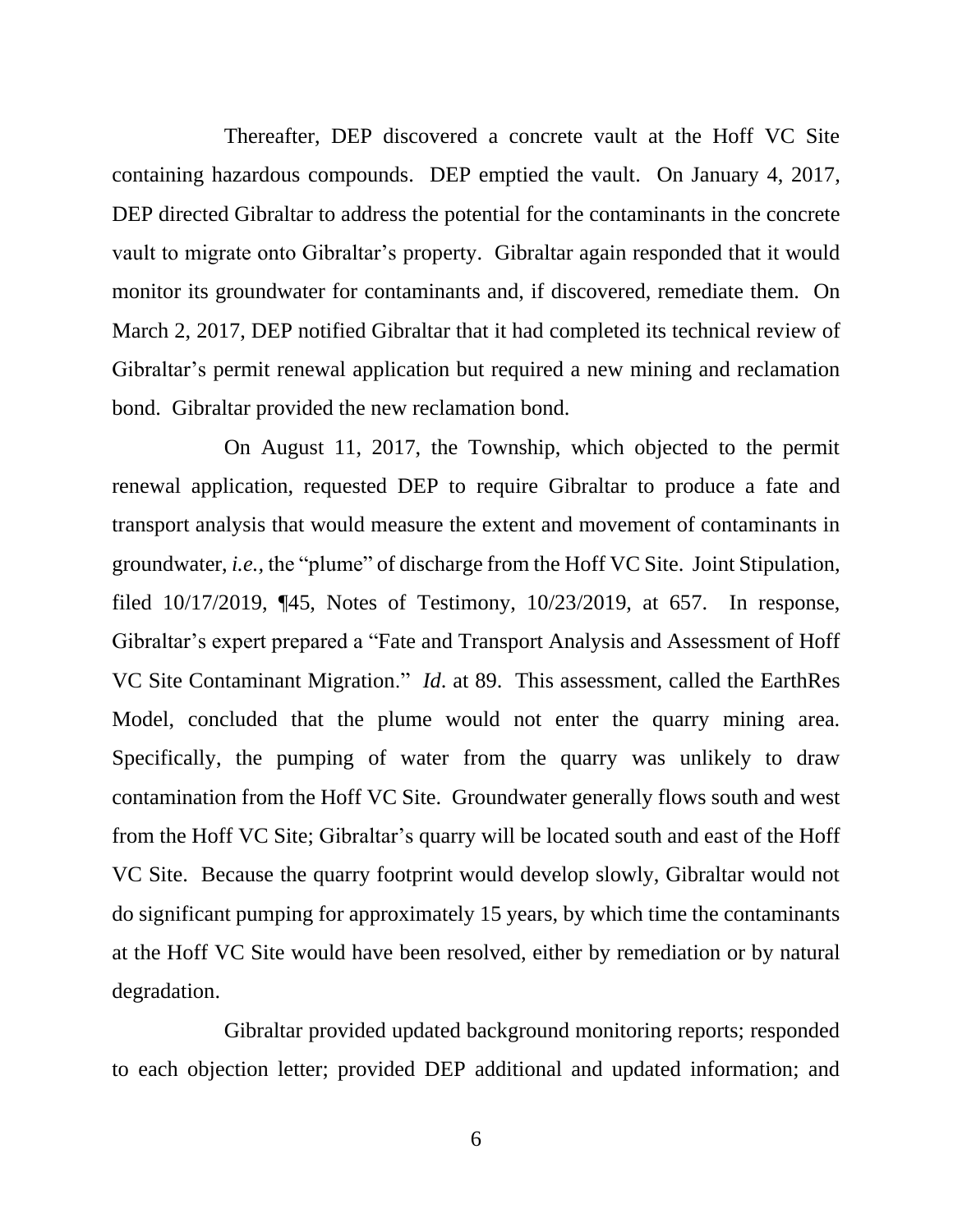Thereafter, DEP discovered a concrete vault at the Hoff VC Site containing hazardous compounds. DEP emptied the vault. On January 4, 2017, DEP directed Gibraltar to address the potential for the contaminants in the concrete vault to migrate onto Gibraltar's property. Gibraltar again responded that it would monitor its groundwater for contaminants and, if discovered, remediate them. On March 2, 2017, DEP notified Gibraltar that it had completed its technical review of Gibraltar's permit renewal application but required a new mining and reclamation bond. Gibraltar provided the new reclamation bond.

On August 11, 2017, the Township, which objected to the permit renewal application, requested DEP to require Gibraltar to produce a fate and transport analysis that would measure the extent and movement of contaminants in groundwater, *i.e.,* the "plume" of discharge from the Hoff VC Site. Joint Stipulation, filed 10/17/2019, ¶45, Notes of Testimony, 10/23/2019, at 657. In response, Gibraltar's expert prepared a "Fate and Transport Analysis and Assessment of Hoff VC Site Contaminant Migration." *Id*. at 89. This assessment, called the EarthRes Model, concluded that the plume would not enter the quarry mining area. Specifically, the pumping of water from the quarry was unlikely to draw contamination from the Hoff VC Site. Groundwater generally flows south and west from the Hoff VC Site; Gibraltar's quarry will be located south and east of the Hoff VC Site. Because the quarry footprint would develop slowly, Gibraltar would not do significant pumping for approximately 15 years, by which time the contaminants at the Hoff VC Site would have been resolved, either by remediation or by natural degradation.

Gibraltar provided updated background monitoring reports; responded to each objection letter; provided DEP additional and updated information; and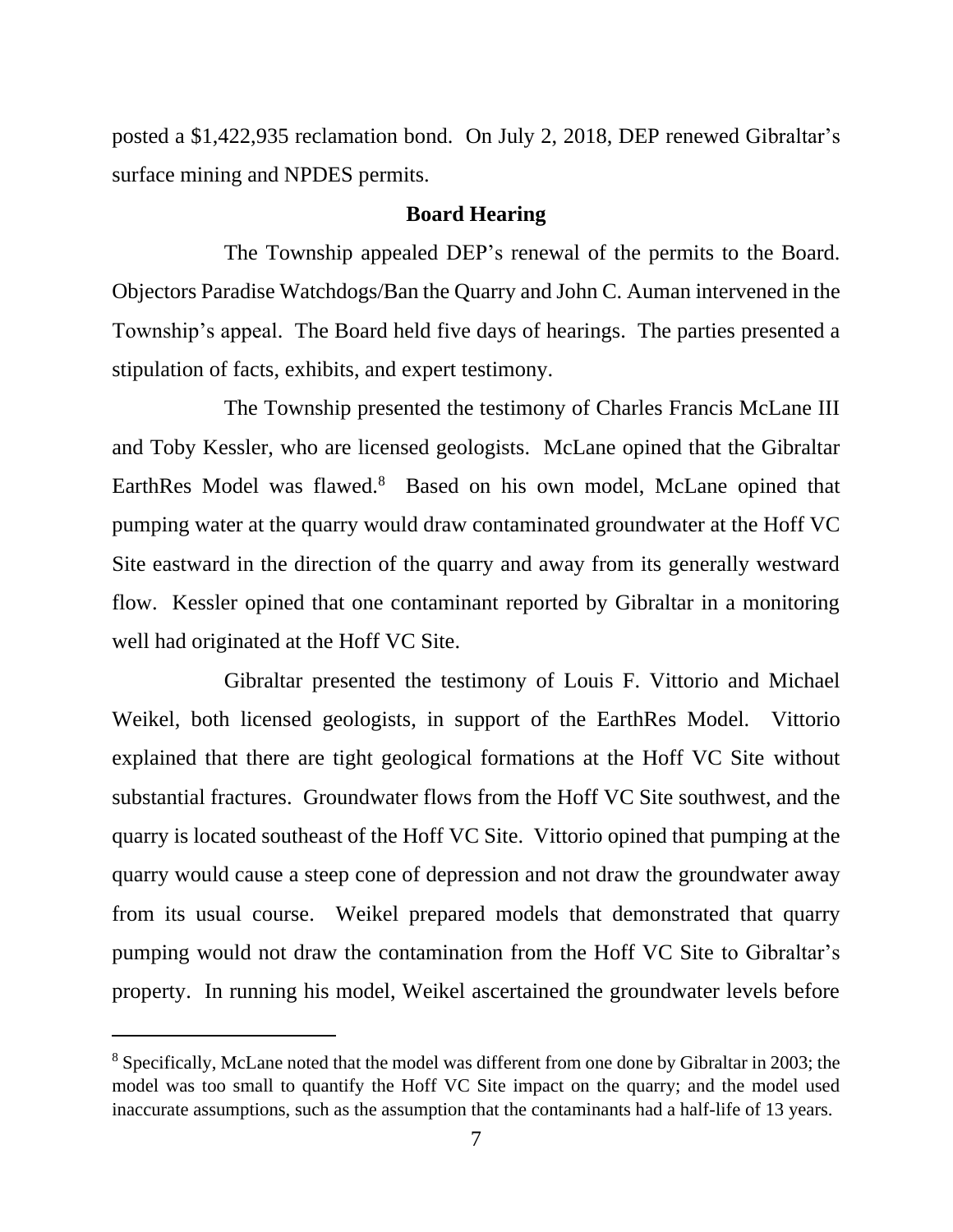posted a \$1,422,935 reclamation bond. On July 2, 2018, DEP renewed Gibraltar's surface mining and NPDES permits.

#### **Board Hearing**

The Township appealed DEP's renewal of the permits to the Board. Objectors Paradise Watchdogs/Ban the Quarry and John C. Auman intervened in the Township's appeal. The Board held five days of hearings. The parties presented a stipulation of facts, exhibits, and expert testimony.

The Township presented the testimony of Charles Francis McLane III and Toby Kessler, who are licensed geologists. McLane opined that the Gibraltar EarthRes Model was flawed.<sup>8</sup> Based on his own model, McLane opined that pumping water at the quarry would draw contaminated groundwater at the Hoff VC Site eastward in the direction of the quarry and away from its generally westward flow. Kessler opined that one contaminant reported by Gibraltar in a monitoring well had originated at the Hoff VC Site.

Gibraltar presented the testimony of Louis F. Vittorio and Michael Weikel, both licensed geologists, in support of the EarthRes Model. Vittorio explained that there are tight geological formations at the Hoff VC Site without substantial fractures. Groundwater flows from the Hoff VC Site southwest, and the quarry is located southeast of the Hoff VC Site. Vittorio opined that pumping at the quarry would cause a steep cone of depression and not draw the groundwater away from its usual course. Weikel prepared models that demonstrated that quarry pumping would not draw the contamination from the Hoff VC Site to Gibraltar's property. In running his model, Weikel ascertained the groundwater levels before

<sup>8</sup> Specifically, McLane noted that the model was different from one done by Gibraltar in 2003; the model was too small to quantify the Hoff VC Site impact on the quarry; and the model used inaccurate assumptions, such as the assumption that the contaminants had a half-life of 13 years.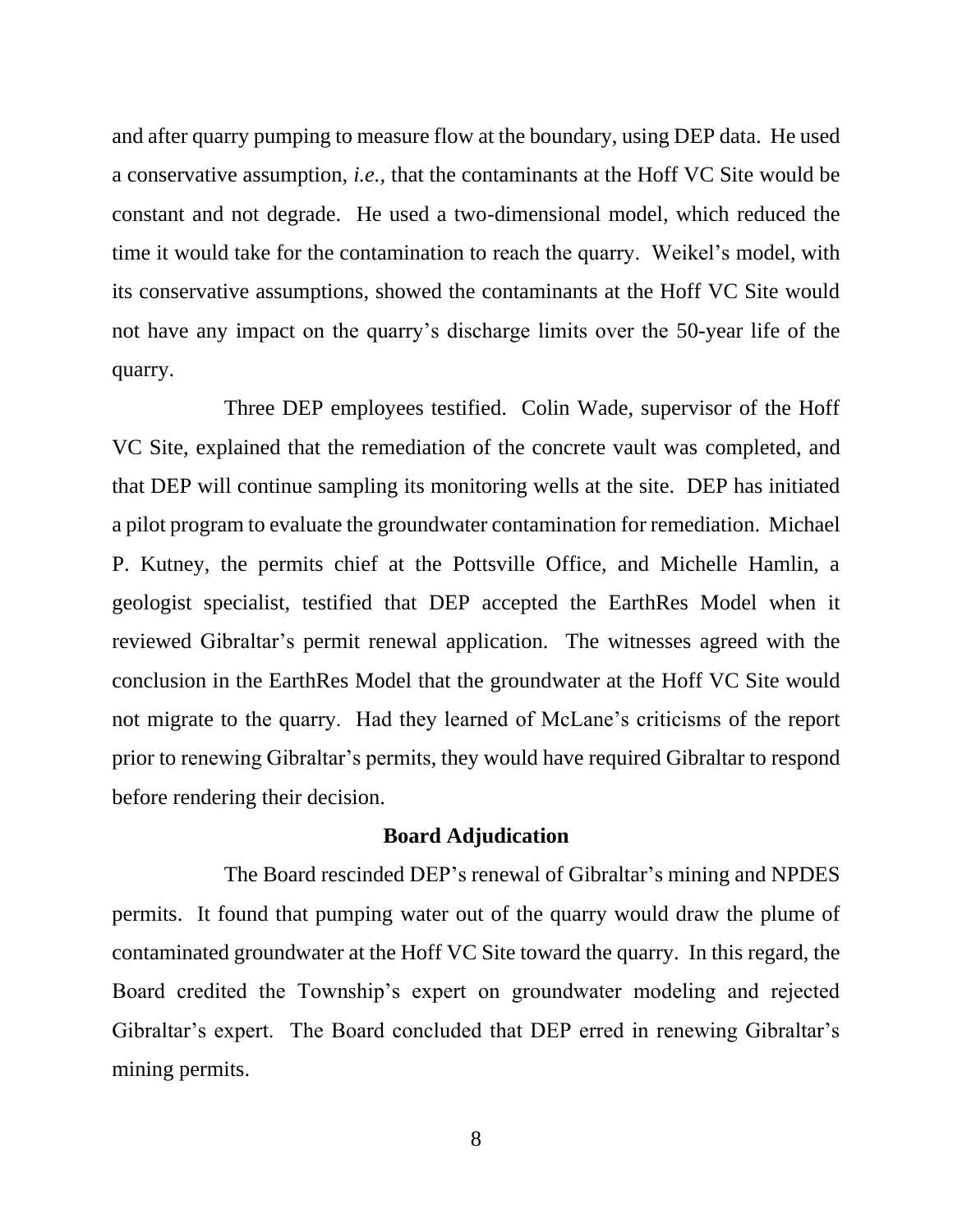and after quarry pumping to measure flow at the boundary, using DEP data. He used a conservative assumption, *i.e.,* that the contaminants at the Hoff VC Site would be constant and not degrade. He used a two-dimensional model, which reduced the time it would take for the contamination to reach the quarry. Weikel's model, with its conservative assumptions, showed the contaminants at the Hoff VC Site would not have any impact on the quarry's discharge limits over the 50-year life of the quarry.

Three DEP employees testified. Colin Wade, supervisor of the Hoff VC Site, explained that the remediation of the concrete vault was completed, and that DEP will continue sampling its monitoring wells at the site. DEP has initiated a pilot program to evaluate the groundwater contamination for remediation. Michael P. Kutney, the permits chief at the Pottsville Office, and Michelle Hamlin, a geologist specialist, testified that DEP accepted the EarthRes Model when it reviewed Gibraltar's permit renewal application. The witnesses agreed with the conclusion in the EarthRes Model that the groundwater at the Hoff VC Site would not migrate to the quarry. Had they learned of McLane's criticisms of the report prior to renewing Gibraltar's permits, they would have required Gibraltar to respond before rendering their decision.

#### **Board Adjudication**

The Board rescinded DEP's renewal of Gibraltar's mining and NPDES permits. It found that pumping water out of the quarry would draw the plume of contaminated groundwater at the Hoff VC Site toward the quarry. In this regard, the Board credited the Township's expert on groundwater modeling and rejected Gibraltar's expert. The Board concluded that DEP erred in renewing Gibraltar's mining permits.

8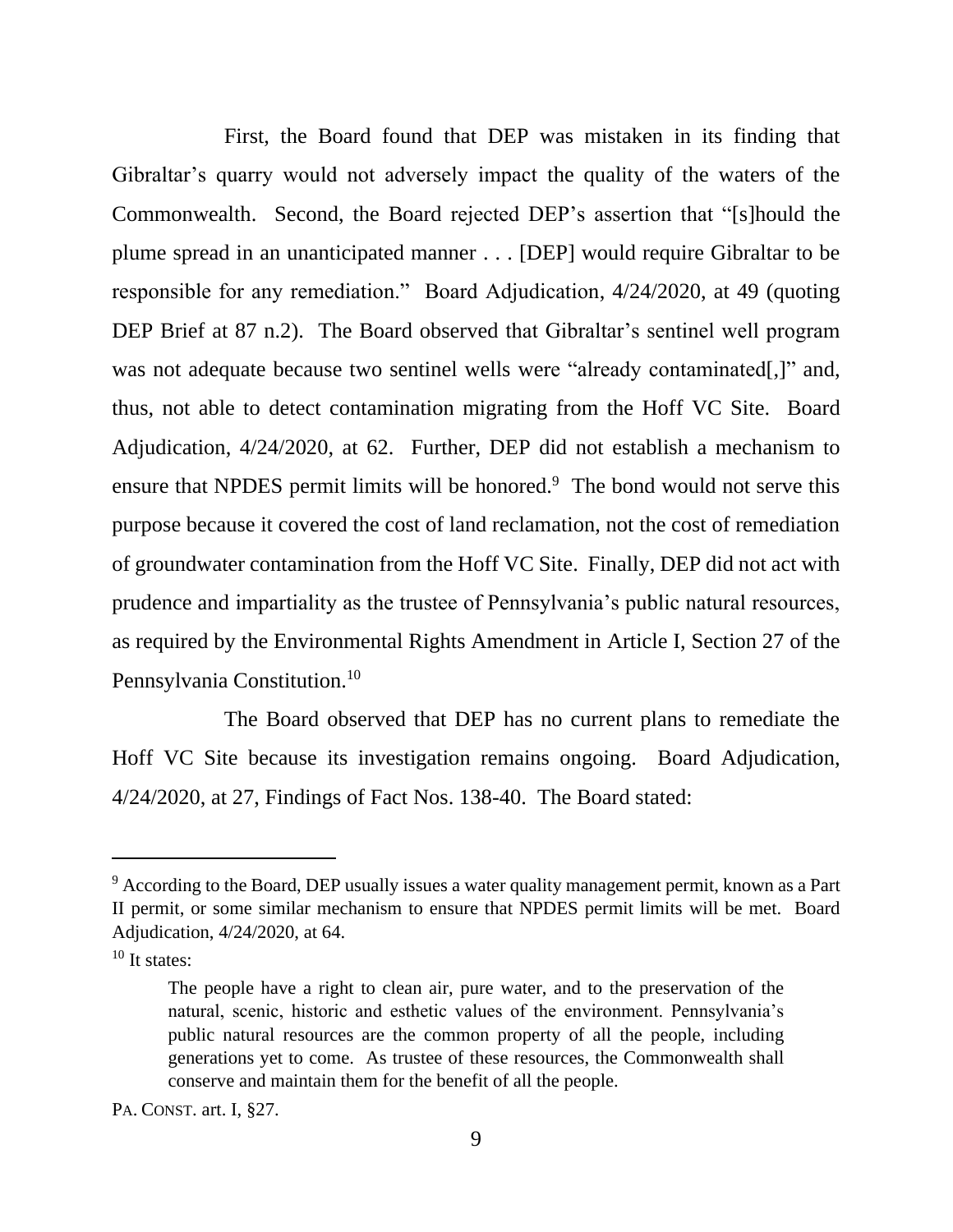First, the Board found that DEP was mistaken in its finding that Gibraltar's quarry would not adversely impact the quality of the waters of the Commonwealth. Second, the Board rejected DEP's assertion that "[s]hould the plume spread in an unanticipated manner . . . [DEP] would require Gibraltar to be responsible for any remediation." Board Adjudication, 4/24/2020, at 49 (quoting DEP Brief at 87 n.2). The Board observed that Gibraltar's sentinel well program was not adequate because two sentinel wells were "already contaminated.]" and, thus, not able to detect contamination migrating from the Hoff VC Site. Board Adjudication, 4/24/2020, at 62. Further, DEP did not establish a mechanism to ensure that NPDES permit limits will be honored.<sup>9</sup> The bond would not serve this purpose because it covered the cost of land reclamation, not the cost of remediation of groundwater contamination from the Hoff VC Site. Finally, DEP did not act with prudence and impartiality as the trustee of Pennsylvania's public natural resources, as required by the Environmental Rights Amendment in Article I, Section 27 of the Pennsylvania Constitution.<sup>10</sup>

The Board observed that DEP has no current plans to remediate the Hoff VC Site because its investigation remains ongoing. Board Adjudication, 4/24/2020, at 27, Findings of Fact Nos. 138-40. The Board stated:

 $9$  According to the Board, DEP usually issues a water quality management permit, known as a Part II permit, or some similar mechanism to ensure that NPDES permit limits will be met. Board Adjudication, 4/24/2020, at 64.

 $10$  It states:

The people have a right to clean air, pure water, and to the preservation of the natural, scenic, historic and esthetic values of the environment. Pennsylvania's public natural resources are the common property of all the people, including generations yet to come. As trustee of these resources, the Commonwealth shall conserve and maintain them for the benefit of all the people.

PA. CONST. art. I, §27.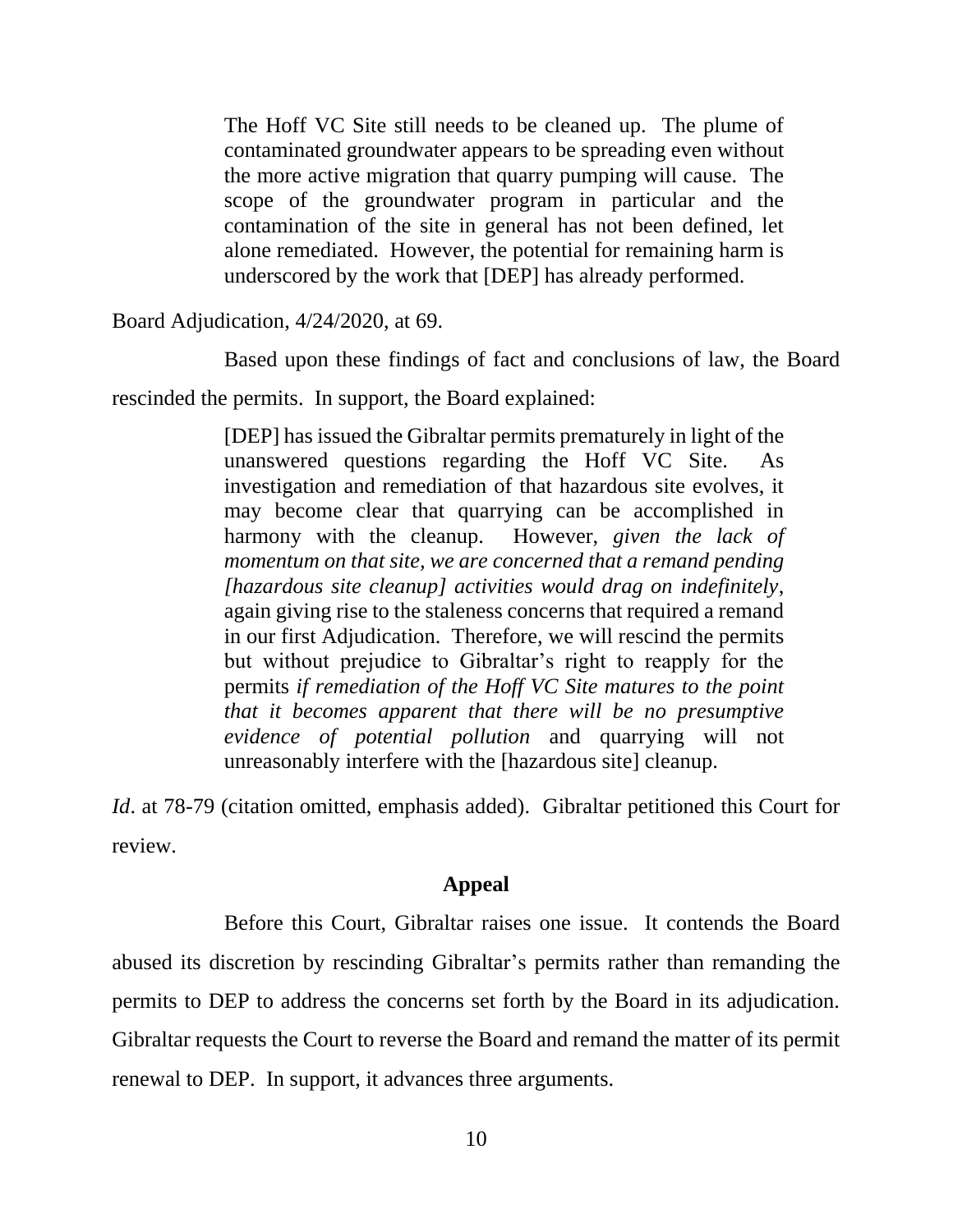The Hoff VC Site still needs to be cleaned up. The plume of contaminated groundwater appears to be spreading even without the more active migration that quarry pumping will cause. The scope of the groundwater program in particular and the contamination of the site in general has not been defined, let alone remediated. However, the potential for remaining harm is underscored by the work that [DEP] has already performed.

Board Adjudication, 4/24/2020, at 69.

Based upon these findings of fact and conclusions of law, the Board

rescinded the permits. In support, the Board explained:

[DEP] has issued the Gibraltar permits prematurely in light of the unanswered questions regarding the Hoff VC Site. As investigation and remediation of that hazardous site evolves, it may become clear that quarrying can be accomplished in harmony with the cleanup. However, *given the lack of momentum on that site, we are concerned that a remand pending [hazardous site cleanup] activities would drag on indefinitely*, again giving rise to the staleness concerns that required a remand in our first Adjudication. Therefore, we will rescind the permits but without prejudice to Gibraltar's right to reapply for the permits *if remediation of the Hoff VC Site matures to the point that it becomes apparent that there will be no presumptive evidence of potential pollution* and quarrying will not unreasonably interfere with the [hazardous site] cleanup.

*Id.* at 78-79 (citation omitted, emphasis added). Gibraltar petitioned this Court for review.

#### **Appeal**

Before this Court, Gibraltar raises one issue. It contends the Board abused its discretion by rescinding Gibraltar's permits rather than remanding the permits to DEP to address the concerns set forth by the Board in its adjudication. Gibraltar requests the Court to reverse the Board and remand the matter of its permit renewal to DEP. In support, it advances three arguments.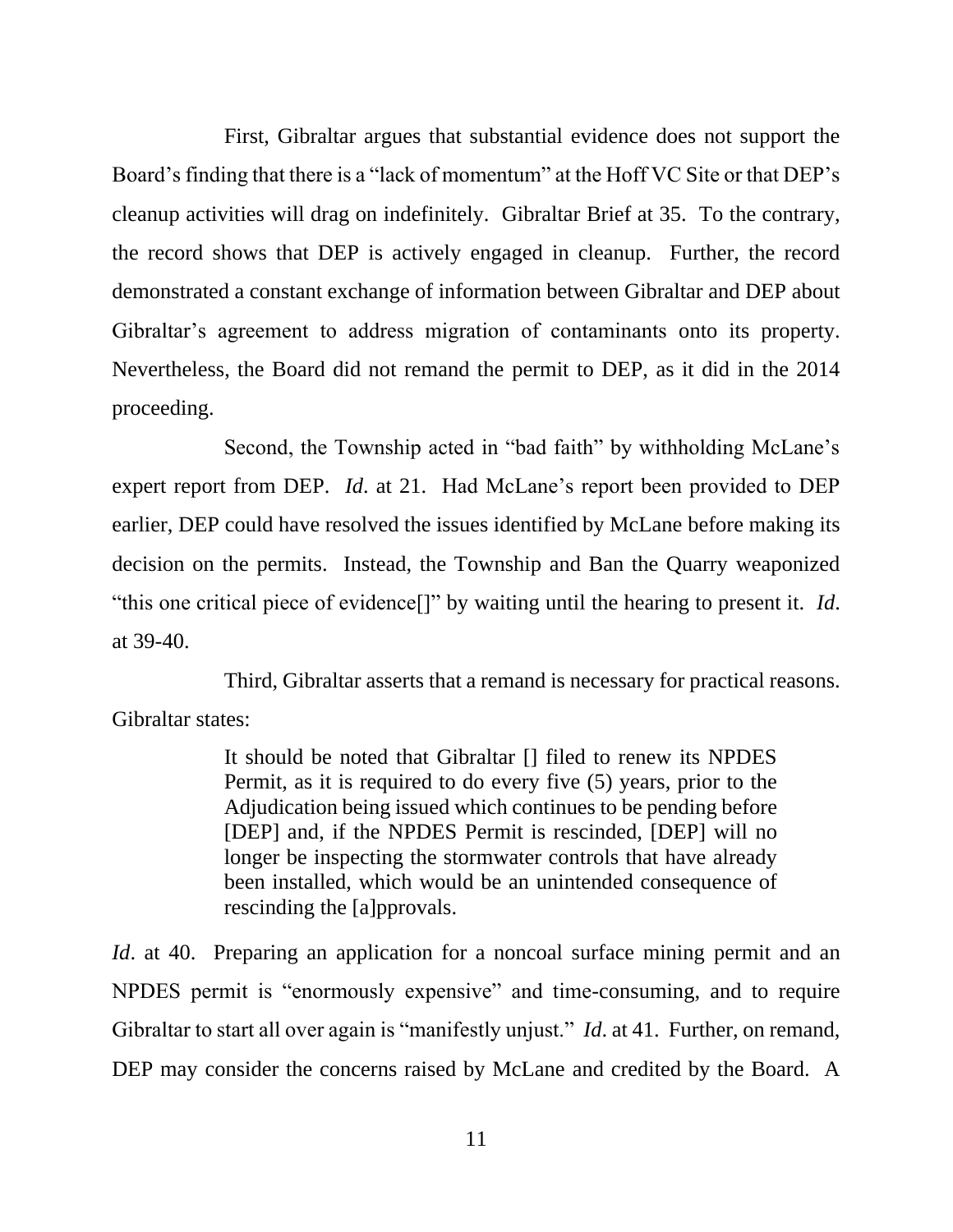First, Gibraltar argues that substantial evidence does not support the Board's finding that there is a "lack of momentum" at the Hoff VC Site or that DEP's cleanup activities will drag on indefinitely. Gibraltar Brief at 35. To the contrary, the record shows that DEP is actively engaged in cleanup. Further, the record demonstrated a constant exchange of information between Gibraltar and DEP about Gibraltar's agreement to address migration of contaminants onto its property. Nevertheless, the Board did not remand the permit to DEP, as it did in the 2014 proceeding.

Second, the Township acted in "bad faith" by withholding McLane's expert report from DEP. *Id*. at 21. Had McLane's report been provided to DEP earlier, DEP could have resolved the issues identified by McLane before making its decision on the permits. Instead, the Township and Ban the Quarry weaponized "this one critical piece of evidence[]" by waiting until the hearing to present it. *Id*. at 39-40.

Third, Gibraltar asserts that a remand is necessary for practical reasons. Gibraltar states:

> It should be noted that Gibraltar [] filed to renew its NPDES Permit, as it is required to do every five (5) years, prior to the Adjudication being issued which continues to be pending before [DEP] and, if the NPDES Permit is rescinded, [DEP] will no longer be inspecting the stormwater controls that have already been installed, which would be an unintended consequence of rescinding the [a]pprovals.

*Id.* at 40. Preparing an application for a noncoal surface mining permit and an NPDES permit is "enormously expensive" and time-consuming, and to require Gibraltar to start all over again is "manifestly unjust." *Id*. at 41. Further, on remand, DEP may consider the concerns raised by McLane and credited by the Board. A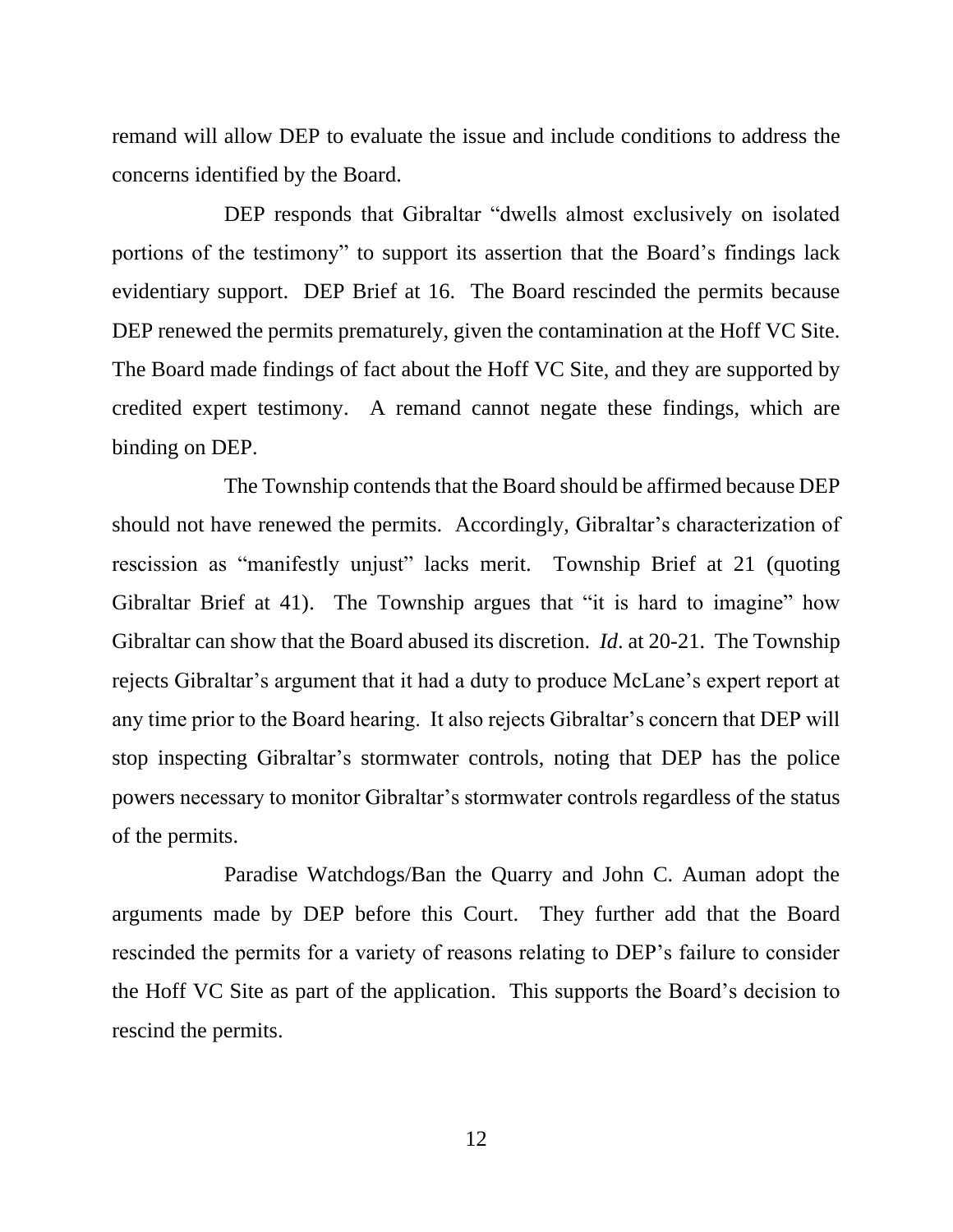remand will allow DEP to evaluate the issue and include conditions to address the concerns identified by the Board.

DEP responds that Gibraltar "dwells almost exclusively on isolated portions of the testimony" to support its assertion that the Board's findings lack evidentiary support. DEP Brief at 16. The Board rescinded the permits because DEP renewed the permits prematurely, given the contamination at the Hoff VC Site. The Board made findings of fact about the Hoff VC Site, and they are supported by credited expert testimony. A remand cannot negate these findings, which are binding on DEP.

The Township contends that the Board should be affirmed because DEP should not have renewed the permits. Accordingly, Gibraltar's characterization of rescission as "manifestly unjust" lacks merit. Township Brief at 21 (quoting Gibraltar Brief at 41). The Township argues that "it is hard to imagine" how Gibraltar can show that the Board abused its discretion. *Id*. at 20-21. The Township rejects Gibraltar's argument that it had a duty to produce McLane's expert report at any time prior to the Board hearing. It also rejects Gibraltar's concern that DEP will stop inspecting Gibraltar's stormwater controls, noting that DEP has the police powers necessary to monitor Gibraltar's stormwater controls regardless of the status of the permits.

Paradise Watchdogs/Ban the Quarry and John C. Auman adopt the arguments made by DEP before this Court. They further add that the Board rescinded the permits for a variety of reasons relating to DEP's failure to consider the Hoff VC Site as part of the application. This supports the Board's decision to rescind the permits.

12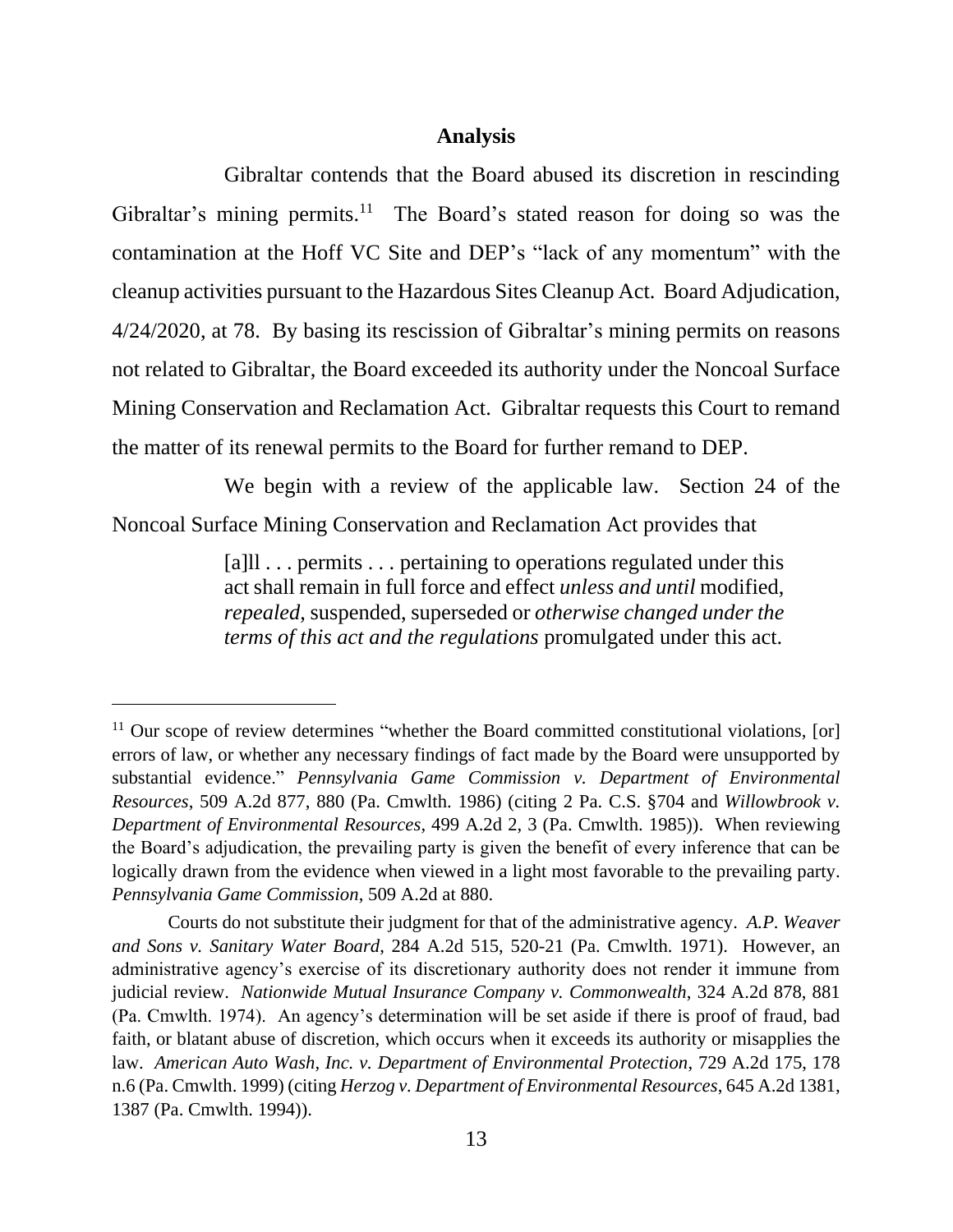#### **Analysis**

Gibraltar contends that the Board abused its discretion in rescinding Gibraltar's mining permits.<sup>11</sup> The Board's stated reason for doing so was the contamination at the Hoff VC Site and DEP's "lack of any momentum" with the cleanup activities pursuant to the Hazardous Sites Cleanup Act. Board Adjudication, 4/24/2020, at 78. By basing its rescission of Gibraltar's mining permits on reasons not related to Gibraltar, the Board exceeded its authority under the Noncoal Surface Mining Conservation and Reclamation Act. Gibraltar requests this Court to remand the matter of its renewal permits to the Board for further remand to DEP.

We begin with a review of the applicable law. Section 24 of the Noncoal Surface Mining Conservation and Reclamation Act provides that

> [a]ll . . . permits . . . pertaining to operations regulated under this act shall remain in full force and effect *unless and until* modified, *repealed*, suspended, superseded or *otherwise changed under the terms of this act and the regulations* promulgated under this act.

 $11$  Our scope of review determines "whether the Board committed constitutional violations, [or] errors of law, or whether any necessary findings of fact made by the Board were unsupported by substantial evidence." *Pennsylvania Game Commission v. Department of Environmental Resources*, 509 A.2d 877, 880 (Pa. Cmwlth. 1986) (citing 2 Pa. C.S. §704 and *Willowbrook v. Department of Environmental Resources*, 499 A.2d 2, 3 (Pa. Cmwlth. 1985)). When reviewing the Board's adjudication, the prevailing party is given the benefit of every inference that can be logically drawn from the evidence when viewed in a light most favorable to the prevailing party. *Pennsylvania Game Commission*, 509 A.2d at 880.

Courts do not substitute their judgment for that of the administrative agency. *A.P. Weaver and Sons v. Sanitary Water Board*, 284 A.2d 515, 520-21 (Pa. Cmwlth. 1971). However, an administrative agency's exercise of its discretionary authority does not render it immune from judicial review. *Nationwide Mutual Insurance Company v. Commonwealth*, 324 A.2d 878, 881 (Pa. Cmwlth. 1974). An agency's determination will be set aside if there is proof of fraud, bad faith, or blatant abuse of discretion, which occurs when it exceeds its authority or misapplies the law. *American Auto Wash, Inc. v. Department of Environmental Protection*, 729 A.2d 175, 178 n.6 (Pa. Cmwlth. 1999) (citing *Herzog v. Department of Environmental Resources*, 645 A.2d 1381, 1387 (Pa. Cmwlth. 1994)).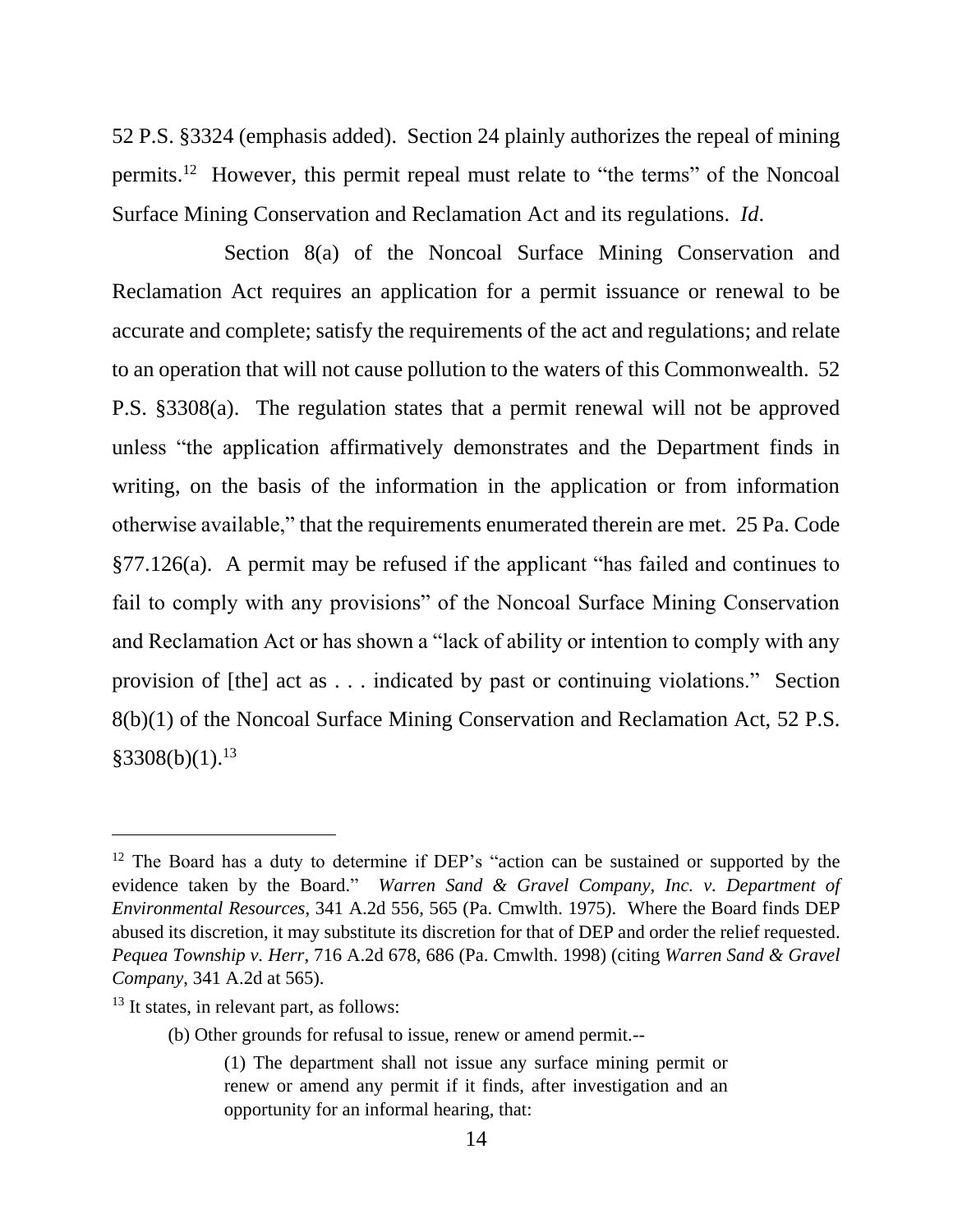52 P.S. §3324 (emphasis added). Section 24 plainly authorizes the repeal of mining permits.<sup>12</sup> However, this permit repeal must relate to "the terms" of the Noncoal Surface Mining Conservation and Reclamation Act and its regulations. *Id*.

Section 8(a) of the Noncoal Surface Mining Conservation and Reclamation Act requires an application for a permit issuance or renewal to be accurate and complete; satisfy the requirements of the act and regulations; and relate to an operation that will not cause pollution to the waters of this Commonwealth. 52 P.S. §3308(a). The regulation states that a permit renewal will not be approved unless "the application affirmatively demonstrates and the Department finds in writing, on the basis of the information in the application or from information otherwise available," that the requirements enumerated therein are met. 25 Pa. Code §77.126(a). A permit may be refused if the applicant "has failed and continues to fail to comply with any provisions" of the Noncoal Surface Mining Conservation and Reclamation Act or has shown a "lack of ability or intention to comply with any provision of [the] act as . . . indicated by past or continuing violations." Section 8(b)(1) of the Noncoal Surface Mining Conservation and Reclamation Act, 52 P.S.  $§3308(b)(1).<sup>13</sup>$ 

(b) Other grounds for refusal to issue, renew or amend permit.--

<sup>&</sup>lt;sup>12</sup> The Board has a duty to determine if DEP's "action can be sustained or supported by the evidence taken by the Board." *Warren Sand & Gravel Company, Inc. v. Department of Environmental Resources*, 341 A.2d 556, 565 (Pa. Cmwlth. 1975). Where the Board finds DEP abused its discretion, it may substitute its discretion for that of DEP and order the relief requested. *Pequea Township v. Herr*, 716 A.2d 678, 686 (Pa. Cmwlth. 1998) (citing *Warren Sand & Gravel Company*, 341 A.2d at 565).

 $13$  It states, in relevant part, as follows:

<sup>(1)</sup> The department shall not issue any surface mining permit or renew or amend any permit if it finds, after investigation and an opportunity for an informal hearing, that: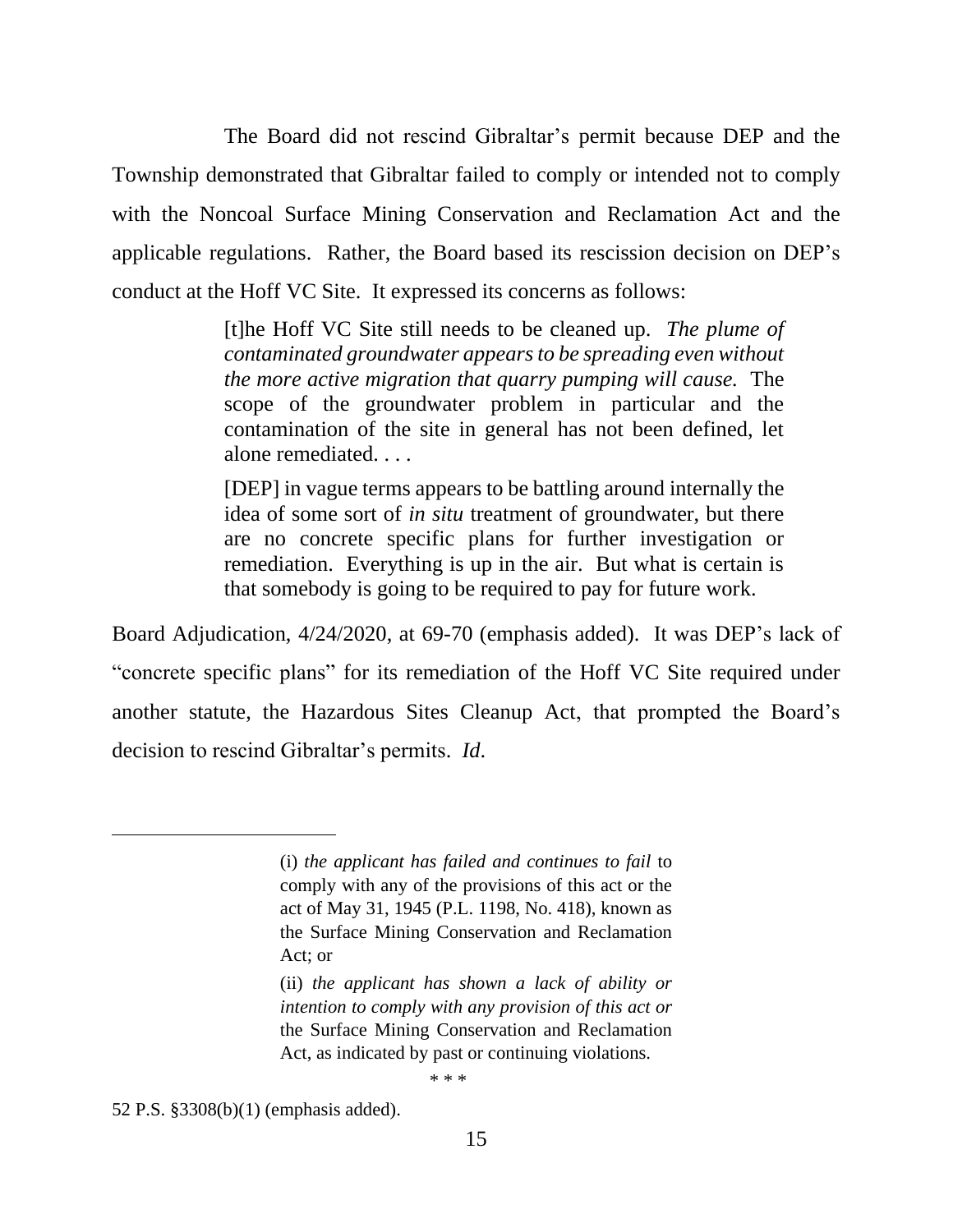The Board did not rescind Gibraltar's permit because DEP and the Township demonstrated that Gibraltar failed to comply or intended not to comply with the Noncoal Surface Mining Conservation and Reclamation Act and the applicable regulations. Rather, the Board based its rescission decision on DEP's conduct at the Hoff VC Site. It expressed its concerns as follows:

> [t]he Hoff VC Site still needs to be cleaned up. *The plume of contaminated groundwater appears to be spreading even without the more active migration that quarry pumping will cause.* The scope of the groundwater problem in particular and the contamination of the site in general has not been defined, let alone remediated. . . .

> [DEP] in vague terms appears to be battling around internally the idea of some sort of *in situ* treatment of groundwater, but there are no concrete specific plans for further investigation or remediation. Everything is up in the air. But what is certain is that somebody is going to be required to pay for future work.

Board Adjudication, 4/24/2020, at 69-70 (emphasis added). It was DEP's lack of "concrete specific plans" for its remediation of the Hoff VC Site required under another statute, the Hazardous Sites Cleanup Act, that prompted the Board's decision to rescind Gibraltar's permits. *Id*.

\* \* \*

52 P.S. §3308(b)(1) (emphasis added).

<sup>(</sup>i) *the applicant has failed and continues to fail* to comply with any of the provisions of this act or the act of May 31, 1945 (P.L. 1198, No. 418), known as the Surface Mining Conservation and Reclamation Act; or

<sup>(</sup>ii) *the applicant has shown a lack of ability or intention to comply with any provision of this act or*  the Surface Mining Conservation and Reclamation Act, as indicated by past or continuing violations.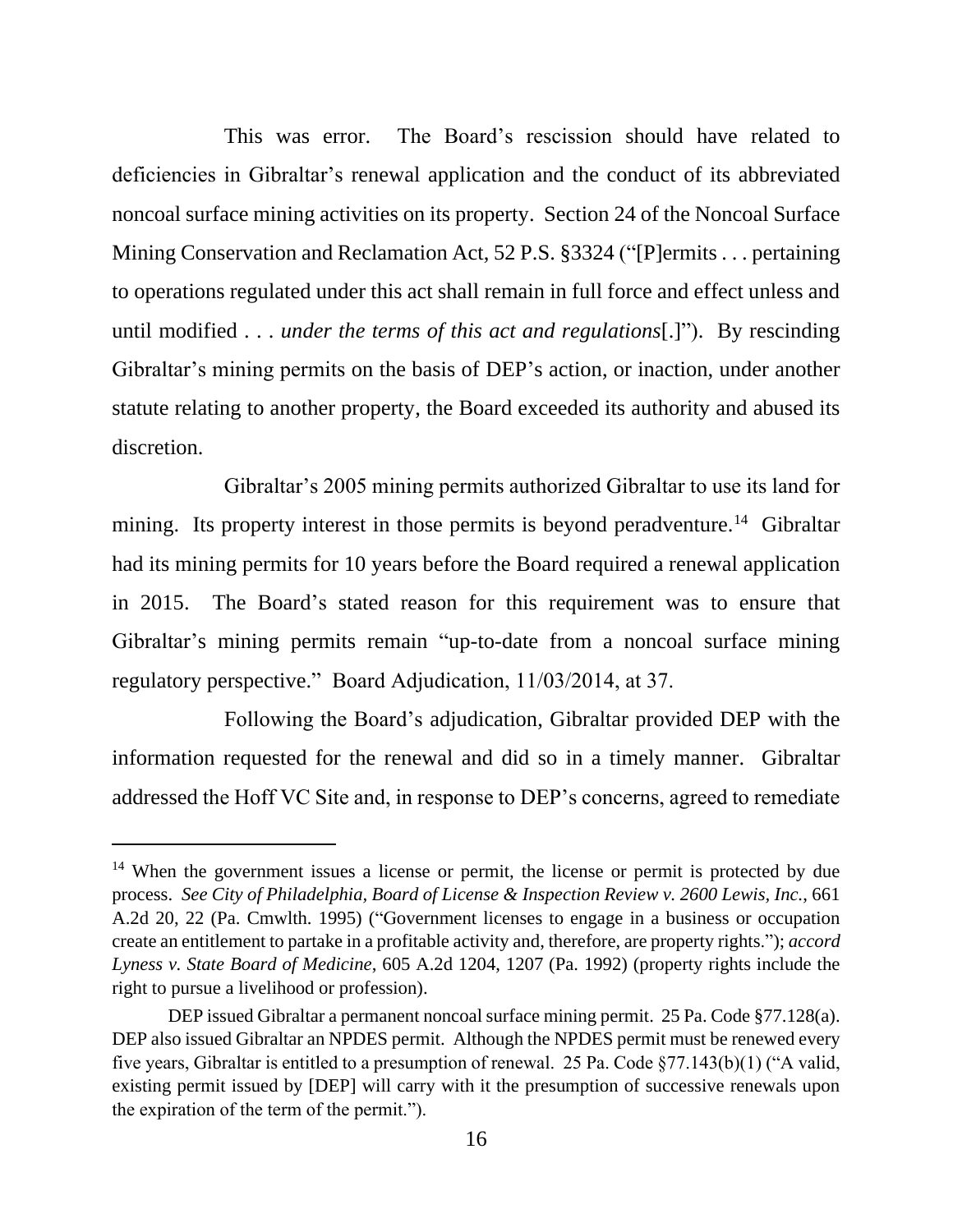This was error. The Board's rescission should have related to deficiencies in Gibraltar's renewal application and the conduct of its abbreviated noncoal surface mining activities on its property. Section 24 of the Noncoal Surface Mining Conservation and Reclamation Act, 52 P.S. §3324 ("[P]ermits . . . pertaining to operations regulated under this act shall remain in full force and effect unless and until modified . . . *under the terms of this act and regulations*[.]"). By rescinding Gibraltar's mining permits on the basis of DEP's action, or inaction, under another statute relating to another property, the Board exceeded its authority and abused its discretion.

Gibraltar's 2005 mining permits authorized Gibraltar to use its land for mining. Its property interest in those permits is beyond peradventure.<sup>14</sup> Gibraltar had its mining permits for 10 years before the Board required a renewal application in 2015. The Board's stated reason for this requirement was to ensure that Gibraltar's mining permits remain "up-to-date from a noncoal surface mining regulatory perspective." Board Adjudication, 11/03/2014, at 37.

Following the Board's adjudication, Gibraltar provided DEP with the information requested for the renewal and did so in a timely manner. Gibraltar addressed the Hoff VC Site and, in response to DEP's concerns, agreed to remediate

<sup>&</sup>lt;sup>14</sup> When the government issues a license or permit, the license or permit is protected by due process. *See City of Philadelphia, Board of License & Inspection Review v. 2600 Lewis, Inc.*, 661 A.2d 20, 22 (Pa. Cmwlth. 1995) ("Government licenses to engage in a business or occupation create an entitlement to partake in a profitable activity and, therefore, are property rights."); *accord Lyness v. State Board of Medicine*, 605 A.2d 1204, 1207 (Pa. 1992) (property rights include the right to pursue a livelihood or profession).

DEP issued Gibraltar a permanent noncoal surface mining permit. 25 Pa. Code §77.128(a). DEP also issued Gibraltar an NPDES permit. Although the NPDES permit must be renewed every five years, Gibraltar is entitled to a presumption of renewal. 25 Pa. Code §77.143(b)(1) ("A valid, existing permit issued by [DEP] will carry with it the presumption of successive renewals upon the expiration of the term of the permit.").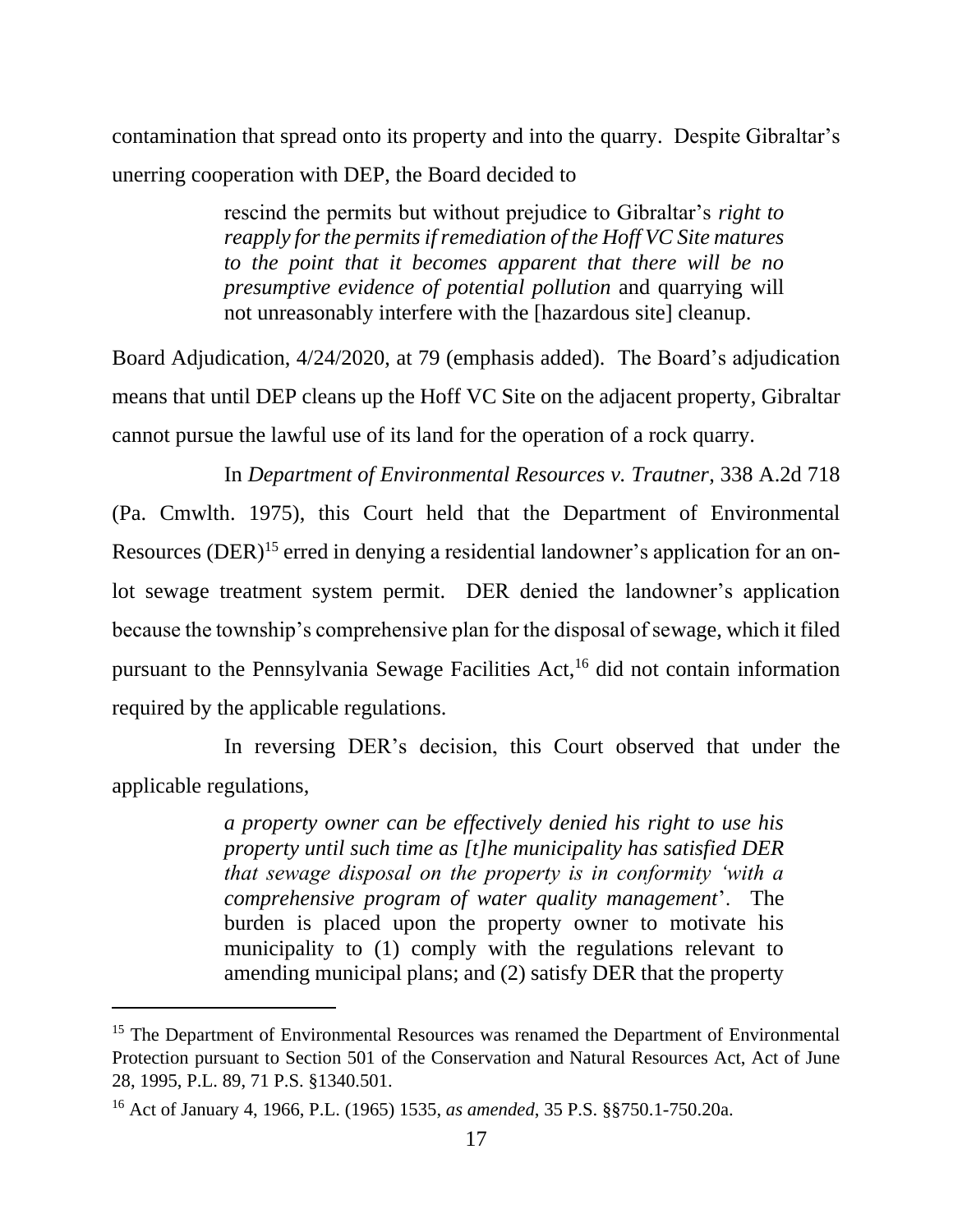contamination that spread onto its property and into the quarry. Despite Gibraltar's unerring cooperation with DEP, the Board decided to

> rescind the permits but without prejudice to Gibraltar's *right to reapply for the permits if remediation of the Hoff VC Site matures to the point that it becomes apparent that there will be no presumptive evidence of potential pollution* and quarrying will not unreasonably interfere with the [hazardous site] cleanup.

Board Adjudication, 4/24/2020, at 79 (emphasis added). The Board's adjudication means that until DEP cleans up the Hoff VC Site on the adjacent property, Gibraltar cannot pursue the lawful use of its land for the operation of a rock quarry.

In *Department of Environmental Resources v. Trautner*, 338 A.2d 718 (Pa. Cmwlth. 1975), this Court held that the Department of Environmental Resources (DER)<sup>15</sup> erred in denying a residential landowner's application for an onlot sewage treatment system permit. DER denied the landowner's application because the township's comprehensive plan for the disposal of sewage, which it filed pursuant to the Pennsylvania Sewage Facilities Act, <sup>16</sup> did not contain information required by the applicable regulations.

In reversing DER's decision, this Court observed that under the applicable regulations,

> *a property owner can be effectively denied his right to use his property until such time as [t]he municipality has satisfied DER that sewage disposal on the property is in conformity 'with a comprehensive program of water quality management*'. The burden is placed upon the property owner to motivate his municipality to (1) comply with the regulations relevant to amending municipal plans; and (2) satisfy DER that the property

<sup>&</sup>lt;sup>15</sup> The Department of Environmental Resources was renamed the Department of Environmental Protection pursuant to Section 501 of the Conservation and Natural Resources Act, Act of June 28, 1995, P.L. 89, 71 P.S. §1340.501.

<sup>16</sup> Act of January 4, 1966, P.L. (1965) 1535, *as amended*, 35 P.S. §§750.1-750.20a.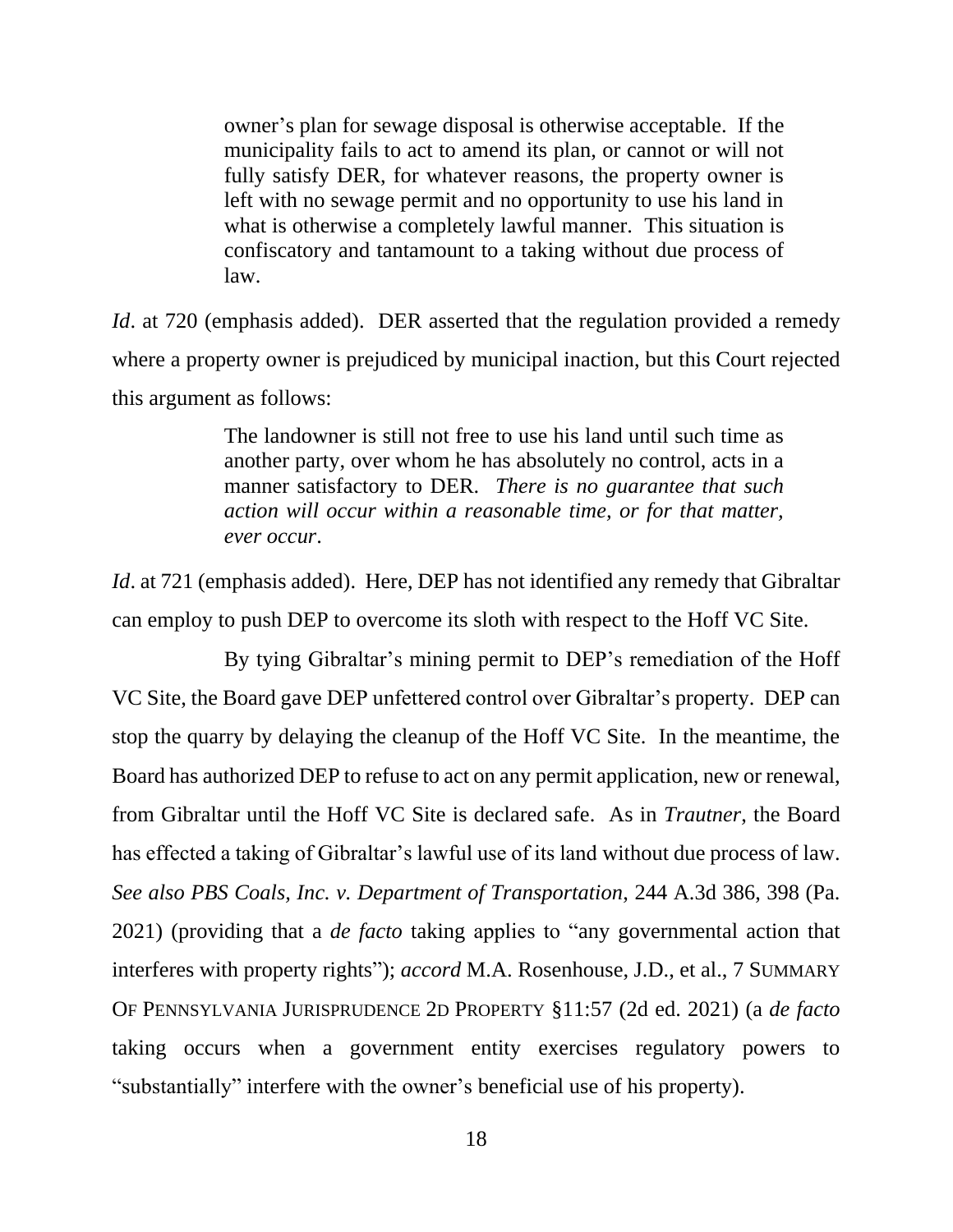owner's plan for sewage disposal is otherwise acceptable. If the municipality fails to act to amend its plan, or cannot or will not fully satisfy DER, for whatever reasons, the property owner is left with no sewage permit and no opportunity to use his land in what is otherwise a completely lawful manner. This situation is confiscatory and tantamount to a taking without due process of law.

*Id.* at 720 (emphasis added). DER asserted that the regulation provided a remedy where a property owner is prejudiced by municipal inaction, but this Court rejected this argument as follows:

> The landowner is still not free to use his land until such time as another party, over whom he has absolutely no control, acts in a manner satisfactory to DER. *There is no guarantee that such action will occur within a reasonable time, or for that matter, ever occur*.

*Id*. at 721 (emphasis added). Here, DEP has not identified any remedy that Gibraltar can employ to push DEP to overcome its sloth with respect to the Hoff VC Site.

By tying Gibraltar's mining permit to DEP's remediation of the Hoff VC Site, the Board gave DEP unfettered control over Gibraltar's property. DEP can stop the quarry by delaying the cleanup of the Hoff VC Site. In the meantime, the Board has authorized DEP to refuse to act on any permit application, new or renewal, from Gibraltar until the Hoff VC Site is declared safe. As in *Trautner*, the Board has effected a taking of Gibraltar's lawful use of its land without due process of law. *See also PBS Coals, Inc. v. Department of Transportation*, 244 A.3d 386, 398 (Pa. 2021) (providing that a *de facto* taking applies to "any governmental action that interferes with property rights"); *accord* M.A. Rosenhouse, J.D., et al., 7 SUMMARY OF PENNSYLVANIA JURISPRUDENCE 2D PROPERTY §11:57 (2d ed. 2021) (a *de facto* taking occurs when a government entity exercises regulatory powers to "substantially" interfere with the owner's beneficial use of his property).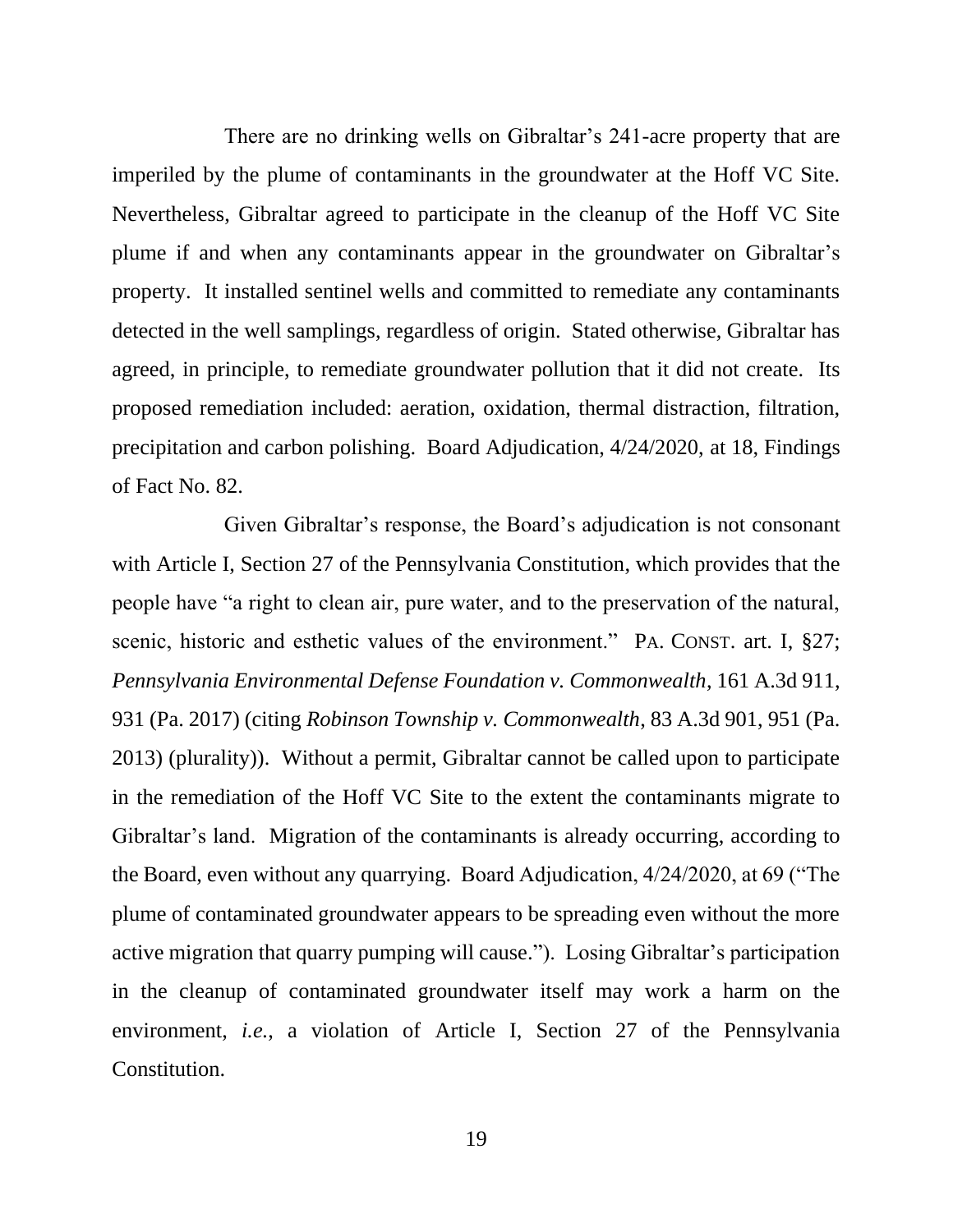There are no drinking wells on Gibraltar's 241-acre property that are imperiled by the plume of contaminants in the groundwater at the Hoff VC Site. Nevertheless, Gibraltar agreed to participate in the cleanup of the Hoff VC Site plume if and when any contaminants appear in the groundwater on Gibraltar's property. It installed sentinel wells and committed to remediate any contaminants detected in the well samplings, regardless of origin. Stated otherwise, Gibraltar has agreed, in principle, to remediate groundwater pollution that it did not create. Its proposed remediation included: aeration, oxidation, thermal distraction, filtration, precipitation and carbon polishing. Board Adjudication, 4/24/2020, at 18, Findings of Fact No. 82.

Given Gibraltar's response, the Board's adjudication is not consonant with Article I, Section 27 of the Pennsylvania Constitution, which provides that the people have "a right to clean air, pure water, and to the preservation of the natural, scenic, historic and esthetic values of the environment." PA. CONST. art. I, §27; *Pennsylvania Environmental Defense Foundation v. Commonwealth*, 161 A.3d 911, 931 (Pa. 2017) (citing *Robinson Township v. Commonwealth*, 83 A.3d 901, 951 (Pa. 2013) (plurality)). Without a permit, Gibraltar cannot be called upon to participate in the remediation of the Hoff VC Site to the extent the contaminants migrate to Gibraltar's land. Migration of the contaminants is already occurring, according to the Board, even without any quarrying. Board Adjudication, 4/24/2020, at 69 ("The plume of contaminated groundwater appears to be spreading even without the more active migration that quarry pumping will cause."). Losing Gibraltar's participation in the cleanup of contaminated groundwater itself may work a harm on the environment, *i.e.*, a violation of Article I, Section 27 of the Pennsylvania Constitution.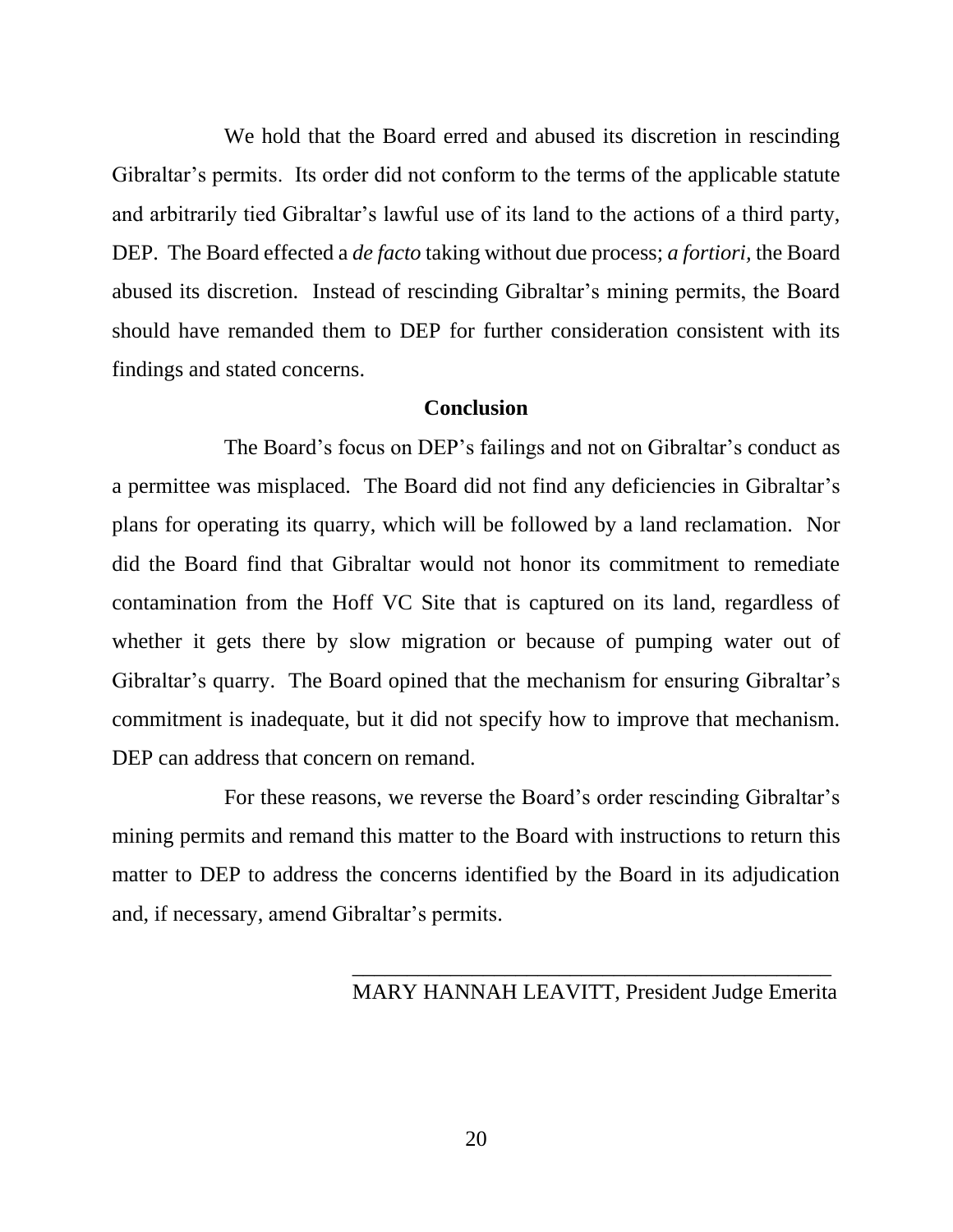We hold that the Board erred and abused its discretion in rescinding Gibraltar's permits. Its order did not conform to the terms of the applicable statute and arbitrarily tied Gibraltar's lawful use of its land to the actions of a third party, DEP. The Board effected a *de facto* taking without due process; *a fortiori,* the Board abused its discretion. Instead of rescinding Gibraltar's mining permits, the Board should have remanded them to DEP for further consideration consistent with its findings and stated concerns.

## **Conclusion**

The Board's focus on DEP's failings and not on Gibraltar's conduct as a permittee was misplaced. The Board did not find any deficiencies in Gibraltar's plans for operating its quarry, which will be followed by a land reclamation. Nor did the Board find that Gibraltar would not honor its commitment to remediate contamination from the Hoff VC Site that is captured on its land, regardless of whether it gets there by slow migration or because of pumping water out of Gibraltar's quarry. The Board opined that the mechanism for ensuring Gibraltar's commitment is inadequate, but it did not specify how to improve that mechanism. DEP can address that concern on remand.

For these reasons, we reverse the Board's order rescinding Gibraltar's mining permits and remand this matter to the Board with instructions to return this matter to DEP to address the concerns identified by the Board in its adjudication and, if necessary, amend Gibraltar's permits.

## MARY HANNAH LEAVITT, President Judge Emerita

\_\_\_\_\_\_\_\_\_\_\_\_\_\_\_\_\_\_\_\_\_\_\_\_\_\_\_\_\_\_\_\_\_\_\_\_\_\_\_\_\_\_\_\_